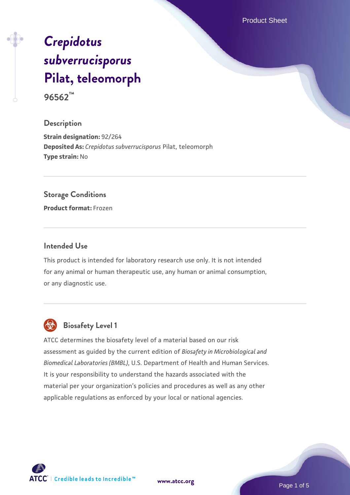Product Sheet

# *[Crepidotus](https://www.atcc.org/products/96562) [subverrucisporus](https://www.atcc.org/products/96562)* **[Pilat, teleomorph](https://www.atcc.org/products/96562)**

**96562™**

### **Description**

**Strain designation:** 92/264 **Deposited As:** *Crepidotus subverrucisporus* Pilat, teleomorph **Type strain:** No

### **Storage Conditions**

**Product format:** Frozen

### **Intended Use**

This product is intended for laboratory research use only. It is not intended for any animal or human therapeutic use, any human or animal consumption, or any diagnostic use.



# **Biosafety Level 1**

ATCC determines the biosafety level of a material based on our risk assessment as guided by the current edition of *Biosafety in Microbiological and Biomedical Laboratories (BMBL)*, U.S. Department of Health and Human Services. It is your responsibility to understand the hazards associated with the material per your organization's policies and procedures as well as any other applicable regulations as enforced by your local or national agencies.

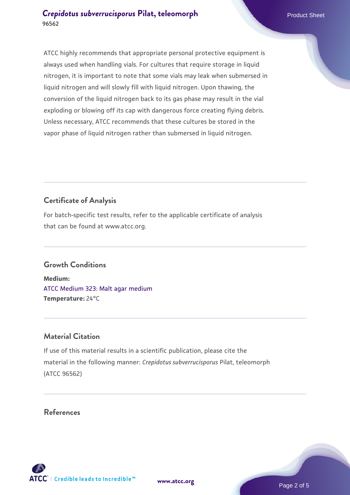ATCC highly recommends that appropriate personal protective equipment is always used when handling vials. For cultures that require storage in liquid nitrogen, it is important to note that some vials may leak when submersed in liquid nitrogen and will slowly fill with liquid nitrogen. Upon thawing, the conversion of the liquid nitrogen back to its gas phase may result in the vial exploding or blowing off its cap with dangerous force creating flying debris. Unless necessary, ATCC recommends that these cultures be stored in the vapor phase of liquid nitrogen rather than submersed in liquid nitrogen.

## **Certificate of Analysis**

For batch-specific test results, refer to the applicable certificate of analysis that can be found at www.atcc.org.

### **Growth Conditions**

**Medium:**  [ATCC Medium 323: Malt agar medium](https://www.atcc.org/-/media/product-assets/documents/microbial-media-formulations/3/2/3/atcc-medium-323.pdf?rev=58d6457ee20149d7a1c844947569ef92) **Temperature:** 24°C

### **Material Citation**

If use of this material results in a scientific publication, please cite the material in the following manner: *Crepidotus subverrucisporus* Pilat, teleomorph (ATCC 96562)

### **References**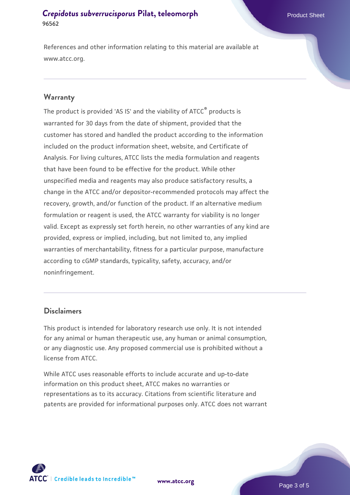References and other information relating to this material are available at www.atcc.org.

### **Warranty**

The product is provided 'AS IS' and the viability of ATCC® products is warranted for 30 days from the date of shipment, provided that the customer has stored and handled the product according to the information included on the product information sheet, website, and Certificate of Analysis. For living cultures, ATCC lists the media formulation and reagents that have been found to be effective for the product. While other unspecified media and reagents may also produce satisfactory results, a change in the ATCC and/or depositor-recommended protocols may affect the recovery, growth, and/or function of the product. If an alternative medium formulation or reagent is used, the ATCC warranty for viability is no longer valid. Except as expressly set forth herein, no other warranties of any kind are provided, express or implied, including, but not limited to, any implied warranties of merchantability, fitness for a particular purpose, manufacture according to cGMP standards, typicality, safety, accuracy, and/or noninfringement.

### **Disclaimers**

This product is intended for laboratory research use only. It is not intended for any animal or human therapeutic use, any human or animal consumption, or any diagnostic use. Any proposed commercial use is prohibited without a license from ATCC.

While ATCC uses reasonable efforts to include accurate and up-to-date information on this product sheet, ATCC makes no warranties or representations as to its accuracy. Citations from scientific literature and patents are provided for informational purposes only. ATCC does not warrant



**[www.atcc.org](http://www.atcc.org)**

Page 3 of 5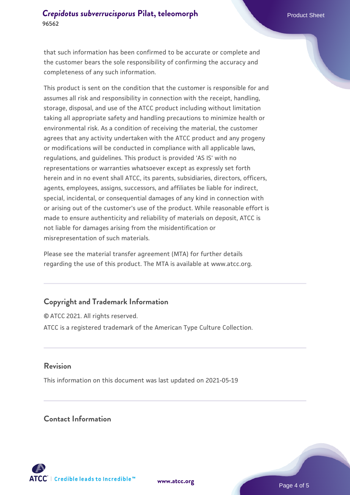that such information has been confirmed to be accurate or complete and the customer bears the sole responsibility of confirming the accuracy and completeness of any such information.

This product is sent on the condition that the customer is responsible for and assumes all risk and responsibility in connection with the receipt, handling, storage, disposal, and use of the ATCC product including without limitation taking all appropriate safety and handling precautions to minimize health or environmental risk. As a condition of receiving the material, the customer agrees that any activity undertaken with the ATCC product and any progeny or modifications will be conducted in compliance with all applicable laws, regulations, and guidelines. This product is provided 'AS IS' with no representations or warranties whatsoever except as expressly set forth herein and in no event shall ATCC, its parents, subsidiaries, directors, officers, agents, employees, assigns, successors, and affiliates be liable for indirect, special, incidental, or consequential damages of any kind in connection with or arising out of the customer's use of the product. While reasonable effort is made to ensure authenticity and reliability of materials on deposit, ATCC is not liable for damages arising from the misidentification or misrepresentation of such materials.

Please see the material transfer agreement (MTA) for further details regarding the use of this product. The MTA is available at www.atcc.org.

### **Copyright and Trademark Information**

© ATCC 2021. All rights reserved. ATCC is a registered trademark of the American Type Culture Collection.

### **Revision**

This information on this document was last updated on 2021-05-19

### **Contact Information**



**[www.atcc.org](http://www.atcc.org)**